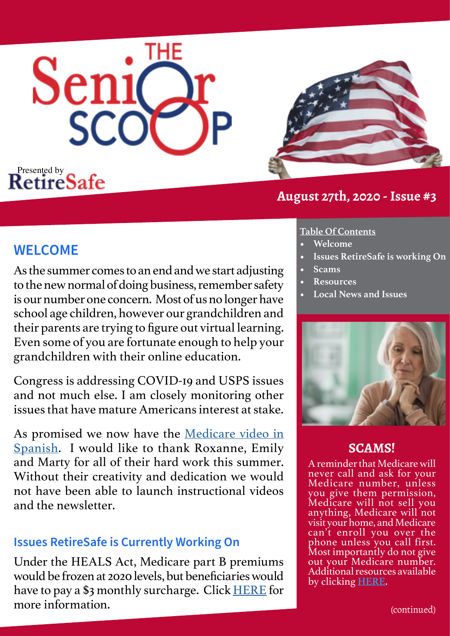



### **August 27th, 2020 - Issue #3**

## **WELCOME**

As the summer comes to an end and we start adjusting to the new normal of doing business, remember safety is our number one concern. Most of us no longer have school age children, however our grandchildren and their parents are trying to figure out virtual learning. Even some of you are fortunate enough to help your grandchildren with their online education.

Congress is addressing COVID-19 and USPS issues and not much else. I am closely monitoring other issues that have mature Americans interest at stake.

As promised we now have the [Medicare video in](https://youtu.be/MceqU4UQA3M)  [Spanish](https://youtu.be/MceqU4UQA3M). I would like to thank Roxanne, Emily and Marty for all of their hard work this summer. Without their creativity and dedication we would not have been able to launch instructional videos and the newsletter.

### **Issues RetireSafe is Currently Working On**

Under the HEALS Act, Medicare part B premiums would be frozen at 2020 levels, but beneficiaries would have to pay a \$3 monthly surcharge. Click [HERE](https://www.cnbc.com/2020/07/28/gops-proposed-heals-act-would-freeze-medicare-part-b-premium-for-2021.html) for more information.

### **Table Of Contents**

- **• Welcome**
- **• Issues RetireSafe is working On**
- **• Scams**
- **• Resources**
- **• Local News and Issues**



### **SCAMS!**

A reminder that Medicare will never call and ask for your Medicare number, unless you give them permission, Medicare will not sell you anything, Medicare will not visit your home, and Medicare can't enroll you over the phone unless you call first. Most importantly do not give out your Medicare number. Additional resources available by clicking [HERE.](https://www.chicoer.com/2020/07/28/medicare-provides-tips-to-protect-against-fraud-scam-of-the-week/)